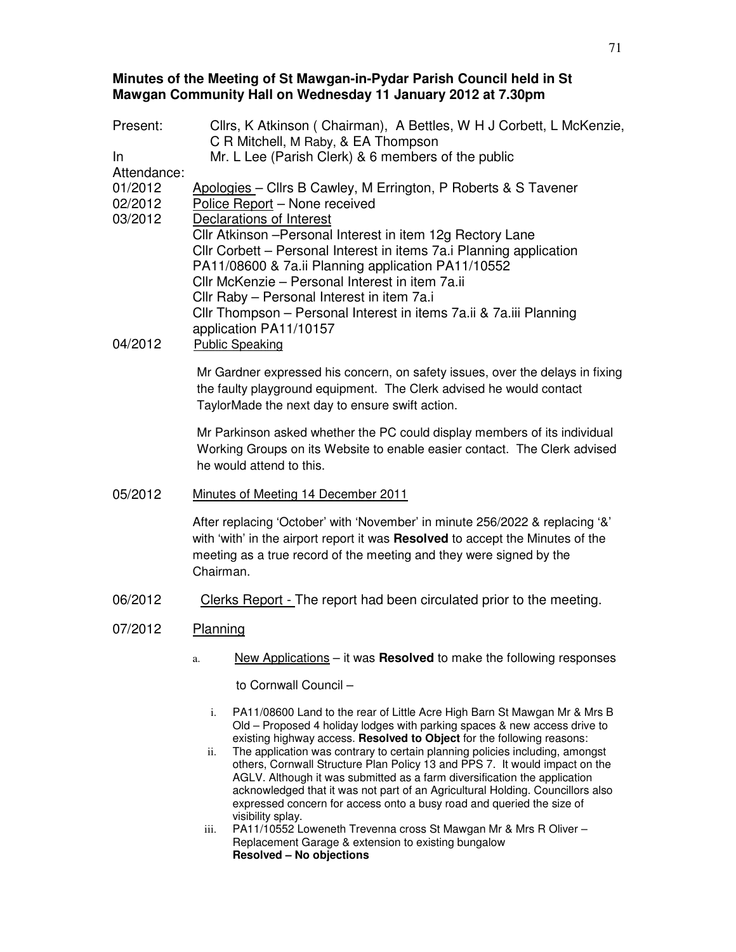## **Minutes of the Meeting of St Mawgan-in-Pydar Parish Council held in St Mawgan Community Hall on Wednesday 11 January 2012 at 7.30pm**

Present: Cllrs, K Atkinson ( Chairman), A Bettles, W H J Corbett, L McKenzie, C R Mitchell, M Raby, & EA Thompson In Attendance: Mr. L Lee (Parish Clerk) & 6 members of the public 01/2012 Apologies – Cllrs B Cawley, M Errington, P Roberts & S Tavener 02/2012 Police Report – None received 03/2012 Declarations of Interest Cllr Atkinson –Personal Interest in item 12g Rectory Lane Cllr Corbett – Personal Interest in items 7a.i Planning application PA11/08600 & 7a.ii Planning application PA11/10552 Cllr McKenzie – Personal Interest in item 7a.ii Cllr Raby – Personal Interest in item 7a.i Cllr Thompson – Personal Interest in items 7a.ii & 7a.iii Planning application PA11/10157 04/2012 Public Speaking Mr Gardner expressed his concern, on safety issues, over the delays in fixing the faulty playground equipment. The Clerk advised he would contact TaylorMade the next day to ensure swift action. Mr Parkinson asked whether the PC could display members of its individual Working Groups on its Website to enable easier contact. The Clerk advised he would attend to this. 05/2012 Minutes of Meeting 14 December 2011

> After replacing 'October' with 'November' in minute 256/2022 & replacing '&' with 'with' in the airport report it was **Resolved** to accept the Minutes of the meeting as a true record of the meeting and they were signed by the Chairman.

06/2012 Clerks Report - The report had been circulated prior to the meeting.

## 07/2012 Planning

a. New Applications – it was **Resolved** to make the following responses

to Cornwall Council –

- i. PA11/08600 Land to the rear of Little Acre High Barn St Mawgan Mr & Mrs B Old – Proposed 4 holiday lodges with parking spaces & new access drive to existing highway access. **Resolved to Object** for the following reasons:
- ii. The application was contrary to certain planning policies including, amongst others, Cornwall Structure Plan Policy 13 and PPS 7. It would impact on the AGLV. Although it was submitted as a farm diversification the application acknowledged that it was not part of an Agricultural Holding. Councillors also expressed concern for access onto a busy road and queried the size of visibility splay.
- iii. PA11/10552 Loweneth Trevenna cross St Mawgan Mr & Mrs R Oliver Replacement Garage & extension to existing bungalow **Resolved – No objections**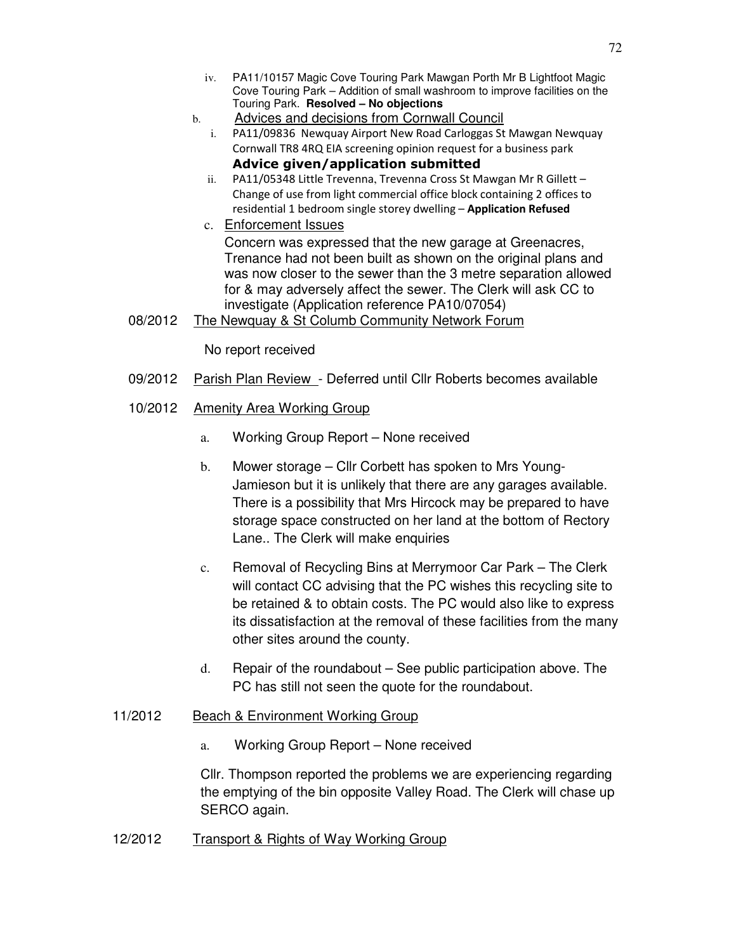- iv. PA11/10157 Magic Cove Touring Park Mawgan Porth Mr B Lightfoot Magic Cove Touring Park – Addition of small washroom to improve facilities on the Touring Park. **Resolved – No objections**
- b. Advices and decisions from Cornwall Council
	- i. PA11/09836 Newquay Airport New Road Carloggas St Mawgan Newquay Cornwall TR8 4RQ EIA screening opinion request for a business park Advice given/application submitted
	- ii. PA11/05348 Little Trevenna, Trevenna Cross St Mawgan Mr R Gillett Change of use from light commercial office block containing 2 offices to residential 1 bedroom single storey dwelling - Application Refused
	- c. Enforcement Issues Concern was expressed that the new garage at Greenacres, Trenance had not been built as shown on the original plans and was now closer to the sewer than the 3 metre separation allowed for & may adversely affect the sewer. The Clerk will ask CC to investigate (Application reference PA10/07054)
- 08/2012 The Newquay & St Columb Community Network Forum

No report received

- 09/2012 Parish Plan Review Deferred until Cllr Roberts becomes available
- 10/2012 Amenity Area Working Group
	- a. Working Group Report None received
	- b. Mower storage Cllr Corbett has spoken to Mrs Young-Jamieson but it is unlikely that there are any garages available. There is a possibility that Mrs Hircock may be prepared to have storage space constructed on her land at the bottom of Rectory Lane.. The Clerk will make enquiries
	- c. Removal of Recycling Bins at Merrymoor Car Park The Clerk will contact CC advising that the PC wishes this recycling site to be retained & to obtain costs. The PC would also like to express its dissatisfaction at the removal of these facilities from the many other sites around the county.
	- d. Repair of the roundabout See public participation above. The PC has still not seen the quote for the roundabout.
- 11/2012 Beach & Environment Working Group
	- a. Working Group Report None received

Cllr. Thompson reported the problems we are experiencing regarding the emptying of the bin opposite Valley Road. The Clerk will chase up SERCO again.

12/2012 Transport & Rights of Way Working Group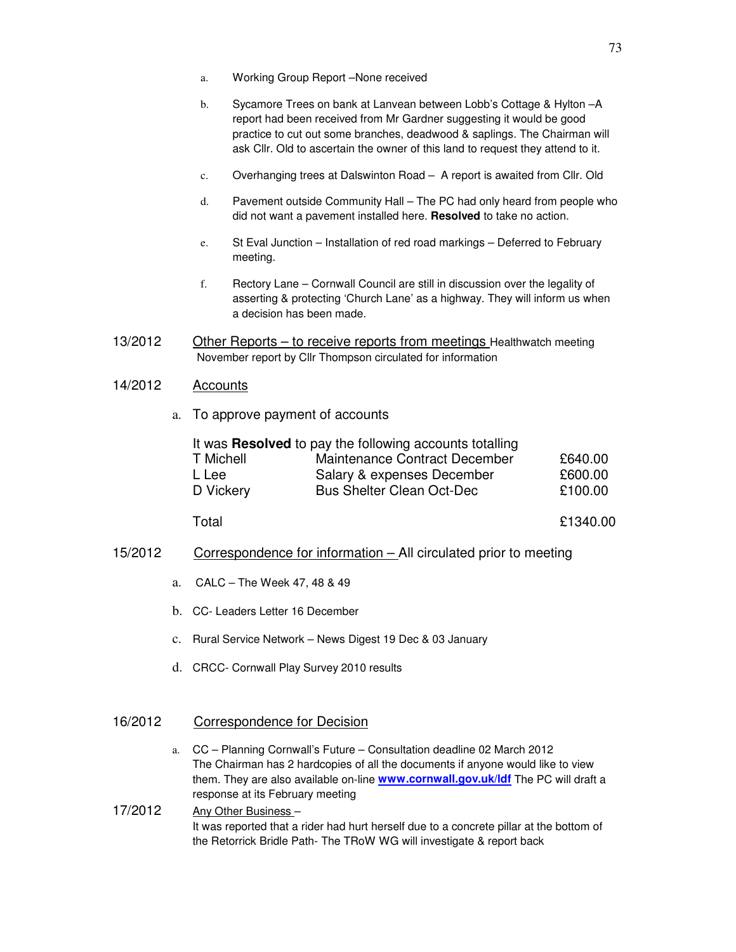- a. Working Group Report –None received
- b. Sycamore Trees on bank at Lanvean between Lobb's Cottage & Hylton –A report had been received from Mr Gardner suggesting it would be good practice to cut out some branches, deadwood & saplings. The Chairman will ask Cllr. Old to ascertain the owner of this land to request they attend to it.
- c. Overhanging trees at Dalswinton Road A report is awaited from Cllr. Old
- d. Pavement outside Community Hall The PC had only heard from people who did not want a pavement installed here. **Resolved** to take no action.
- e. St Eval Junction Installation of red road markings Deferred to February meeting.
- f. Rectory Lane Cornwall Council are still in discussion over the legality of asserting & protecting 'Church Lane' as a highway. They will inform us when a decision has been made.
- 13/2012 Other Reports to receive reports from meetings Healthwatch meeting November report by Cllr Thompson circulated for information

# 14/2012 Accounts

a. To approve payment of accounts

| It was <b>Resolved</b> to pay the following accounts totalling |                                  |         |
|----------------------------------------------------------------|----------------------------------|---------|
| T Michell                                                      | Maintenance Contract December    | £640.00 |
| L Lee                                                          | Salary & expenses December       | £600.00 |
| D Vickery                                                      | <b>Bus Shelter Clean Oct-Dec</b> | £100.00 |

Total £1340.00

- 15/2012 Correspondence for information All circulated prior to meeting
	- a. CALC The Week 47, 48 & 49
	- b. CC- Leaders Letter 16 December
	- c. Rural Service Network News Digest 19 Dec & 03 January
	- d. CRCC- Cornwall Play Survey 2010 results

## 16/2012 Correspondence for Decision

a. CC – Planning Cornwall's Future – Consultation deadline 02 March 2012 The Chairman has 2 hardcopies of all the documents if anyone would like to view them. They are also available on-line **www.cornwall.gov.uk/ldf** The PC will draft a response at its February meeting

## 17/2012 Any Other Business – It was reported that a rider had hurt herself due to a concrete pillar at the bottom of the Retorrick Bridle Path- The TRoW WG will investigate & report back